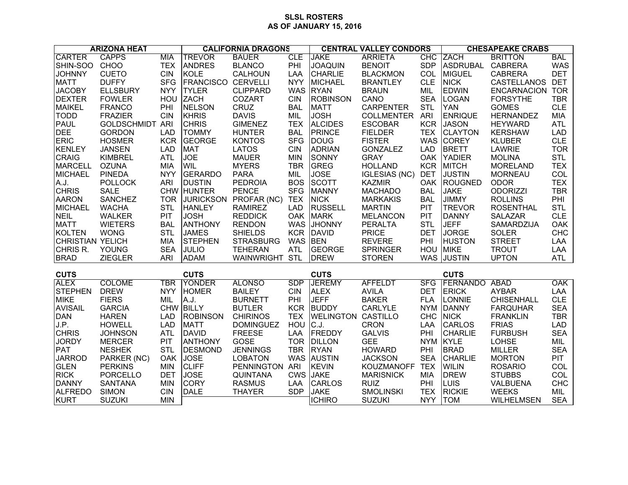## **SLSL ROSTERS AS OF JANUARY 15, 2016**

| <b>ARIZONA HEAT</b>           |                                 |                   | <b>CALIFORNIA DRAGONS</b>      |                                 |                   | <b>CENTRAL VALLEY CONDORS</b> |                             |                   | <b>CHESAPEAKE CRABS</b> |                                    |                   |
|-------------------------------|---------------------------------|-------------------|--------------------------------|---------------------------------|-------------------|-------------------------------|-----------------------------|-------------------|-------------------------|------------------------------------|-------------------|
| <b>CARTER</b>                 | <b>CAPPS</b>                    | <b>MIA</b>        | <b>TREVOR</b>                  | <b>BAUER</b>                    | <b>CLE</b>        | <b>JAKE</b>                   | <b>ARRIETA</b>              | <b>CHC</b>        | <b>ZACH</b>             | <b>BRITTON</b>                     | <b>BAL</b>        |
| SHIN-SOO                      | CHOO                            | <b>TEX</b>        | <b>ANDRES</b>                  | <b>BLANCO</b>                   | PHI               | <b>JOAQUIN</b>                | <b>BENOIT</b>               | <b>SDP</b>        | <b>ASDRUBAL</b>         | <b>CABRERA</b>                     | <b>WAS</b>        |
| <b>JOHNNY</b>                 | <b>CUETO</b>                    | <b>CIN</b>        | <b>KOLE</b>                    | <b>CALHOUN</b>                  | LAA               | <b>CHARLIE</b>                | <b>BLACKMON</b>             | COL               | <b>MIGUEL</b>           | <b>CABRERA</b>                     | <b>DET</b>        |
| <b>MATT</b>                   | <b>DUFFY</b>                    | <b>SFG</b>        | <b>FRANCISCO</b>               | <b>CERVELLI</b>                 | <b>NYY</b>        | <b>MICHAEL</b>                | <b>BRANTLEY</b>             | <b>CLE</b>        | <b>NICK</b>             | CASTELLANOS                        | <b>DET</b>        |
| <b>JACOBY</b>                 | <b>ELLSBURY</b>                 | <b>NYY</b>        | <b>TYLER</b>                   | <b>CLIPPARD</b>                 | <b>WAS</b>        | <b>RYAN</b>                   | <b>BRAUN</b>                | MIL               | <b>EDWIN</b>            | <b>ENCARNACION</b>                 | <b>TOR</b>        |
| <b>DEXTER</b>                 | <b>FOWLER</b>                   | HOU               | <b>ZACH</b>                    | COZART                          | <b>CIN</b>        | <b>ROBINSON</b>               | CANO                        | <b>SEA</b>        | <b>LOGAN</b>            | <b>FORSYTHE</b>                    | <b>TBR</b>        |
| <b>MAIKEL</b>                 | <b>FRANCO</b>                   | PHI               | <b>NELSON</b>                  | <b>CRUZ</b>                     | <b>BAL</b>        | <b>MATT</b>                   | <b>CARPENTER</b>            | <b>STL</b>        | <b>YAN</b>              | <b>GOMES</b>                       | <b>CLE</b>        |
| <b>TODD</b>                   | <b>FRAZIER</b>                  | <b>CIN</b>        | KHRIS                          | <b>DAVIS</b>                    | MIL               | <b>JOSH</b>                   | <b>COLLMENTER</b>           | <b>ARI</b>        | <b>ENRIQUE</b>          | <b>HERNANDEZ</b>                   | MIA               |
| <b>PAUL</b>                   | <b>GOLDSCHMIDT ARI</b>          |                   | <b>CHRIS</b>                   | <b>GIMENEZ</b>                  | <b>TEX</b>        | <b>ALCIDES</b>                | <b>ESCOBAR</b>              | <b>KCR</b>        | <b>JASON</b>            | <b>HEYWARD</b>                     | <b>ATL</b>        |
| <b>DEE</b>                    | <b>GORDON</b>                   | <b>LAD</b>        | <b>TOMMY</b>                   | <b>HUNTER</b>                   | <b>BAL</b>        | <b>PRINCE</b>                 | <b>FIELDER</b>              | <b>TEX</b>        | <b>CLAYTON</b>          | <b>KERSHAW</b>                     | <b>LAD</b>        |
| <b>ERIC</b>                   | <b>HOSMER</b>                   | <b>KCR</b>        | <b>GEORGE</b>                  | <b>KONTOS</b>                   | <b>SFG</b>        | <b>DOUG</b>                   | <b>FISTER</b>               | <b>WAS</b>        | <b>COREY</b>            | <b>KLUBER</b>                      | <b>CLE</b>        |
| <b>KENLEY</b>                 | <b>JANSEN</b>                   | <b>LAD</b>        | <b>MAT</b>                     | <b>LATOS</b>                    | <b>CIN</b>        | <b>ADRIAN</b>                 | <b>GONZALEZ</b>             | <b>LAD</b>        | <b>BRETT</b>            | LAWRIE                             | <b>TOR</b>        |
| CRAIG                         | <b>KIMBREL</b>                  | <b>ATL</b>        | <b>JOE</b>                     | <b>MAUER</b>                    | <b>MIN</b>        | <b>SONNY</b>                  | <b>GRAY</b>                 | <b>OAK</b>        | <b>YADIER</b>           | <b>MOLINA</b>                      | <b>STL</b>        |
| <b>MARCELL</b>                | <b>OZUNA</b>                    | MIA               | <b>WIL</b>                     | <b>MYERS</b>                    | <b>TBR</b>        | GREG                          | <b>HOLLAND</b>              | <b>KCR</b>        | <b>MITCH</b>            | <b>MORELAND</b>                    | <b>TEX</b>        |
| <b>MICHAEL</b>                | <b>PINEDA</b>                   | <b>NYY</b>        | GERARDO                        | <b>PARA</b>                     | MIL               | <b>JOSE</b>                   | <b>IGLESIAS (NC)</b>        | <b>DET</b>        | <b>JUSTIN</b>           | <b>MORNEAU</b>                     | <b>COL</b>        |
| A.J.                          | <b>POLLOCK</b>                  | <b>ARI</b>        | <b>DUSTIN</b>                  | <b>PEDROIA</b>                  | <b>BOS</b>        | <b>SCOTT</b>                  | <b>KAZMIR</b>               | <b>OAK</b>        | <b>ROUGNED</b>          | <b>ODOR</b>                        | <b>TEX</b>        |
| <b>CHRIS</b>                  | <b>SALE</b>                     |                   | CHW HUNTER                     | <b>PENCE</b>                    | <b>SFG</b>        | MANNY                         | <b>MACHADO</b>              | <b>BAL</b>        | <b>JAKE</b>             | <b>ODORIZZI</b>                    | <b>TBR</b>        |
| <b>AARON</b>                  | <b>SANCHEZ</b>                  | <b>TOR</b>        | <b>JURICKSON</b>               | PROFAR (NC)                     | <b>TEX</b>        | <b>NICK</b>                   | <b>MARKAKIS</b>             | <b>BAL</b>        | <b>JIMMY</b>            | <b>ROLLINS</b>                     | PHI               |
| <b>MICHAEL</b>                | <b>WACHA</b>                    | <b>STL</b>        | <b>HANLEY</b>                  | <b>RAMIREZ</b>                  | <b>LAD</b>        | <b>RUSSELL</b>                | <b>MARTIN</b>               | <b>PIT</b>        | <b>TREVOR</b>           | <b>ROSENTHAL</b>                   | <b>STL</b>        |
| <b>NEIL</b>                   | <b>WALKER</b>                   | PIT               | <b>JOSH</b>                    | <b>REDDICK</b>                  | <b>OAK</b>        | <b>MARK</b>                   | <b>MELANCON</b>             | <b>PIT</b>        | <b>DANNY</b>            | <b>SALAZAR</b>                     | <b>CLE</b>        |
| <b>MATT</b>                   | <b>WIETERS</b>                  | <b>BAL</b>        | <b>ANTHONY</b>                 | <b>RENDON</b>                   | <b>WAS</b>        | <b>JHONNY</b>                 | <b>PERALTA</b>              | <b>STL</b>        | <b>JEFF</b>             | SAMARDZIJA                         | <b>OAK</b>        |
| <b>KOLTEN</b>                 | <b>WONG</b>                     | <b>STL</b>        | <b>JAMES</b>                   | <b>SHIELDS</b>                  | <b>KCR</b>        | <b>DAVID</b>                  | <b>PRICE</b>                | <b>DET</b>        | <b>JORGE</b>            | <b>SOLER</b>                       | <b>CHC</b>        |
| <b>CHRISTIAN YELICH</b>       |                                 | <b>MIA</b>        | STEPHEN                        | <b>STRASBURG</b>                | WAS BEN           |                               | <b>REVERE</b>               | PHI               | <b>HUSTON</b>           | <b>STREET</b>                      | LAA               |
| CHRIS R.                      | YOUNG                           | <b>SEA</b>        | <b>JULIO</b>                   | <b>TEHERAN</b>                  | ATL               | <b>GEORGE</b>                 | <b>SPRINGER</b>             | <b>HOU</b>        | <b>MIKE</b>             | <b>TROUT</b>                       | LAA               |
| <b>BRAD</b>                   | <b>ZIEGLER</b>                  | ARI               | <b>ADAM</b>                    | <b>WAINWRIGHT</b>               | <b>STL</b>        | <b>DREW</b>                   | <b>STOREN</b>               | <b>WAS</b>        | <b>JUSTIN</b>           | <b>UPTON</b>                       | <b>ATL</b>        |
|                               |                                 |                   |                                |                                 |                   |                               |                             |                   |                         |                                    |                   |
| <b>CUTS</b><br><b>ALEX</b>    | <b>COLOME</b>                   | <b>TBR</b>        | <b>CUTS</b><br>YONDER          | <b>ALONSO</b>                   | <b>SDP</b>        | <b>CUTS</b><br><b>JEREMY</b>  | <b>AFFELDT</b>              | <b>SFG</b>        | <b>CUTS</b><br>FERNANDO | <b>ABAD</b>                        | <b>OAK</b>        |
| <b>STEPHEN</b>                | <b>DREW</b>                     | <b>NYY</b>        | <b>HOMER</b>                   | <b>BAILEY</b>                   | <b>CIN</b>        | <b>ALEX</b>                   | <b>AVILA</b>                | <b>DET</b>        | <b>ERICK</b>            | <b>AYBAR</b>                       | LAA               |
|                               | <b>FIERS</b>                    | MIL               |                                |                                 | PHI               | <b>JEFF</b>                   | <b>BAKER</b>                | <b>FLA</b>        | LONNIE                  | <b>CHISENHALL</b>                  | <b>CLE</b>        |
| <b>MIKE</b><br><b>AVISAIL</b> |                                 |                   | A.J.<br>CHW BILLY              | <b>BURNETT</b><br><b>BUTLER</b> | <b>KCR</b>        | <b>BUDDY</b>                  | CARLYLE                     | <b>NYM</b>        | <b>DANNY</b>            |                                    | <b>SEA</b>        |
| <b>DAN</b>                    | <b>GARCIA</b><br><b>HAREN</b>   | <b>LAD</b>        | <b>ROBINSON</b>                | <b>CHIRINOS</b>                 | <b>TEX</b>        | <b>WELINGTON CASTILLO</b>     |                             | <b>CHC</b>        | <b>NICK</b>             | <b>FARQUHAR</b><br><b>FRANKLIN</b> | <b>TBR</b>        |
| J.P.                          | <b>HOWELL</b>                   | <b>LAD</b>        | <b>MATT</b>                    | <b>DOMINGUEZ</b>                | HOU               | C.J.                          | <b>CRON</b>                 | LAA               | <b>CARLOS</b>           | <b>FRIAS</b>                       | <b>LAD</b>        |
|                               |                                 |                   |                                |                                 |                   | FREDDY                        |                             |                   | <b>CHARLIE</b>          |                                    | <b>SEA</b>        |
| <b>CHRIS</b>                  | <b>JOHNSON</b><br><b>MERCER</b> | <b>ATL</b><br>PIT | <b>DAVID</b><br><b>ANTHONY</b> | <b>FREESE</b><br>GOSE           | LAA<br><b>TOR</b> | <b>DILLON</b>                 | <b>GALVIS</b><br><b>GEE</b> | PHI<br><b>NYM</b> | <b>KYLE</b>             | <b>FURBUSH</b><br><b>LOHSE</b>     |                   |
| <b>JORDY</b><br>PAT           | <b>NESHEK</b>                   | <b>STL</b>        | DESMOND                        | <b>JENNINGS</b>                 | <b>TBR</b>        | <b>RYAN</b>                   | <b>HOWARD</b>               | PHI               | <b>BRAD</b>             | <b>MILLER</b>                      | MIL<br><b>SEA</b> |
| <b>JARROD</b>                 | PARKER (NC)                     | <b>OAK</b>        | <b>JOSE</b>                    | <b>LOBATON</b>                  | <b>WAS</b>        | <b>AUSTIN</b>                 | <b>JACKSON</b>              | <b>SEA</b>        | <b>CHARLIE</b>          | <b>MORTON</b>                      | <b>PIT</b>        |
| <b>GLEN</b>                   | <b>PERKINS</b>                  | <b>MIN</b>        | <b>CLIFF</b>                   | <b>PENNINGTON</b>               | <b>ARI</b>        | <b>KEVIN</b>                  | <b>KOUZMANOFF</b>           | <b>TEX</b>        | <b>WILIN</b>            | <b>ROSARIO</b>                     | COL               |
| <b>RICK</b>                   | PORCELLO                        | <b>DET</b>        | <b>JOSE</b>                    | <b>QUINTANA</b>                 | <b>CWS</b>        | <b>JAKE</b>                   | <b>MARISNICK</b>            | <b>MIA</b>        | <b>DREW</b>             | <b>STUBBS</b>                      | COL               |
| <b>DANNY</b>                  | <b>SANTANA</b>                  | <b>MIN</b>        | <b>CORY</b>                    | <b>RASMUS</b>                   | LAA               | <b>CARLOS</b>                 | <b>RUIZ</b>                 | PHI               | LUIS                    | VALBUENA                           | <b>CHC</b>        |
| <b>ALFREDO</b>                | <b>SIMON</b>                    | <b>CIN</b>        | <b>DALE</b>                    | <b>THAYER</b>                   | <b>SDP</b>        | <b>JAKE</b>                   | <b>SMOLINSKI</b>            | <b>TEX</b>        | <b>RICKIE</b>           | <b>WEEKS</b>                       | MIL               |
|                               |                                 |                   |                                |                                 |                   |                               |                             |                   |                         |                                    |                   |
| <b>KURT</b>                   | <b>SUZUKI</b>                   | <b>MIN</b>        |                                |                                 |                   | <b>ICHIRO</b>                 | <b>SUZUKI</b>               | <b>NYY</b>        | <b>TOM</b>              | <b>WILHELMSEN</b>                  | <b>SEA</b>        |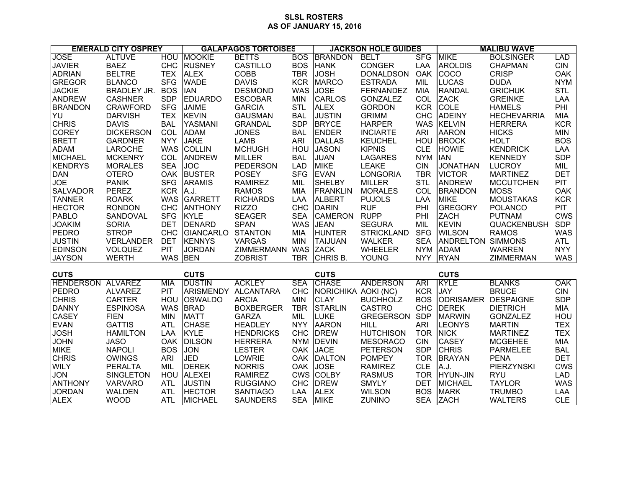## **SLSL ROSTERS AS OF JANUARY 15, 2016**

| <b>EMERALD CITY OSPREY</b>                             |                                 |                   | <b>GALAPAGOS TORTOISES</b> |                                  |                          | <b>JACKSON HOLE GUIDES</b>         |                   |                          | <b>MALIBU WAVE</b>        |                               |                          |
|--------------------------------------------------------|---------------------------------|-------------------|----------------------------|----------------------------------|--------------------------|------------------------------------|-------------------|--------------------------|---------------------------|-------------------------------|--------------------------|
| <b>JOSE</b>                                            | <b>ALTUVE</b>                   | <b>HOU</b>        | <b>MOOKIE</b>              | <b>BETTS</b>                     | <b>BOS</b>               | <b>BRANDON</b>                     | <b>BELT</b>       | <b>SFG</b>               | <b>MIKE</b>               | <b>BOLSINGER</b>              | LAD                      |
| <b>JAVIER</b>                                          | <b>BAEZ</b>                     | <b>CHC</b>        | <b>RUSNEY</b>              | <b>CASTILLO</b>                  | <b>BOS</b>               | <b>HANK</b>                        | <b>CONGER</b>     | LAA                      | <b>AROLDIS</b>            | <b>CHAPMAN</b>                | <b>CIN</b>               |
| <b>ADRIAN</b>                                          | <b>BELTRE</b>                   | <b>TEX</b>        | <b>ALEX</b>                | COBB                             | <b>TBR</b>               | <b>JOSH</b>                        | <b>DONALDSON</b>  | <b>OAK</b>               | COCO                      | <b>CRISP</b>                  | <b>OAK</b>               |
| <b>GREGOR</b>                                          | <b>BLANCO</b>                   | <b>SFG</b>        | <b>WADE</b>                | <b>DAVIS</b>                     | <b>KCR</b>               | <b>MARCO</b>                       | <b>ESTRADA</b>    | MIL                      | <b>LUCAS</b>              | <b>DUDA</b>                   | <b>NYM</b>               |
| <b>JACKIE</b>                                          | <b>BRADLEY JR.</b>              | <b>BOS</b>        | <b>IAN</b>                 | <b>DESMOND</b>                   | <b>WAS</b>               | <b>JOSE</b>                        | <b>FERNANDEZ</b>  | <b>MIA</b>               | <b>RANDAL</b>             | <b>GRICHUK</b>                | <b>STL</b>               |
| <b>ANDREW</b>                                          | <b>CASHNER</b>                  | <b>SDP</b>        | EDUARDO                    | <b>ESCOBAR</b>                   | <b>MIN</b>               | <b>CARLOS</b>                      | <b>GONZALEZ</b>   | COL                      | <b>ZACK</b>               | <b>GREINKE</b>                | LAA                      |
| <b>BRANDON</b>                                         | <b>CRAWFORD</b>                 | <b>SFG</b>        | <b>JAIME</b>               | <b>GARCIA</b>                    | <b>STL</b>               | <b>ALEX</b>                        | <b>GORDON</b>     | <b>KCR</b>               | <b>COLE</b>               | <b>HAMELS</b>                 | PHI                      |
| YU                                                     | <b>DARVISH</b>                  | <b>TEX</b>        | <b>KEVIN</b>               | <b>GAUSMAN</b>                   | <b>BAL</b>               | <b>JUSTIN</b>                      | <b>GRIMM</b>      | <b>CHC</b>               | <b>ADEINY</b>             | <b>HECHEVARRIA</b>            | <b>MIA</b>               |
| <b>CHRIS</b>                                           | <b>DAVIS</b>                    | <b>BAL</b>        | YASMANI                    | <b>GRANDAL</b>                   | <b>SDP</b>               | <b>BRYCE</b>                       | <b>HARPER</b>     |                          | WAS KELVIN                | <b>HERRERA</b>                | <b>KCR</b>               |
| <b>COREY</b>                                           | <b>DICKERSON</b>                | COL               | <b>ADAM</b>                | <b>JONES</b>                     | <b>BAL</b>               | <b>ENDER</b>                       | <b>INCIARTE</b>   | <b>ARI</b>               | <b>AARON</b>              | <b>HICKS</b>                  | <b>MIN</b>               |
| <b>BRETT</b>                                           | <b>GARDNER</b>                  | <b>NYY</b>        | <b>JAKE</b>                | <b>LAMB</b>                      | <b>ARI</b>               | <b>DALLAS</b>                      | <b>KEUCHEL</b>    | HOU                      | <b>BROCK</b>              | <b>HOLT</b>                   | <b>BOS</b>               |
| <b>ADAM</b>                                            | <b>LAROCHE</b>                  | <b>WAS</b>        | <b>COLLIN</b>              | <b>MCHUGH</b>                    | HOU                      | <b>JASON</b>                       | <b>KIPNIS</b>     | <b>CLE</b>               | <b>HOWIE</b>              | <b>KENDRICK</b>               | LAA                      |
| <b>MICHAEL</b>                                         | <b>MCKENRY</b>                  | COL               | <b>ANDREW</b>              | <b>MILLER</b>                    | <b>BAL</b>               | <b>JUAN</b>                        | <b>LAGARES</b>    | NYM IAN                  |                           | <b>KENNEDY</b>                | <b>SDP</b>               |
| <b>KENDRYS</b>                                         | <b>MORALES</b>                  | <b>SEA</b>        | <b>JOC</b>                 | <b>PEDERSON</b>                  | <b>LAD</b>               | <b>MIKE</b>                        | <b>LEAKE</b>      | <b>CIN</b>               | <b>JONATHAN</b>           | <b>LUCROY</b>                 | MIL                      |
| <b>DAN</b>                                             | <b>OTERO</b>                    |                   | OAK BUSTER                 | <b>POSEY</b>                     | <b>SFG</b>               | <b>EVAN</b>                        | <b>LONGORIA</b>   | <b>TBR</b>               | <b>VICTOR</b>             | <b>MARTINEZ</b>               | <b>DET</b>               |
| <b>JOE</b>                                             | <b>PANIK</b>                    | <b>SFG</b>        | <b>ARAMIS</b>              | <b>RAMIREZ</b>                   | MIL                      | <b>SHELBY</b>                      | <b>MILLER</b>     | <b>STL</b>               | <b>ANDREW</b>             | <b>MCCUTCHEN</b>              | <b>PIT</b>               |
| <b>SALVADOR</b>                                        | <b>PEREZ</b>                    | <b>KCR</b>        | A.J.                       | <b>RAMOS</b>                     | <b>MIA</b>               | <b>FRANKLIN</b>                    | <b>MORALES</b>    | COL                      | <b>BRANDON</b>            | <b>MOSS</b>                   | OAK                      |
| <b>TANNER</b>                                          | <b>ROARK</b>                    | <b>WAS</b>        | <b>GARRETT</b>             | <b>RICHARDS</b>                  | LAA                      | <b>ALBERT</b>                      | <b>PUJOLS</b>     | LAA                      | <b>MIKE</b>               | <b>MOUSTAKAS</b>              | <b>KCR</b>               |
| <b>HECTOR</b>                                          | <b>RONDON</b>                   | <b>CHC</b>        | <b>ANTHONY</b>             | <b>RIZZO</b>                     | CHC                      | <b>DARIN</b>                       | <b>RUF</b>        | PHI                      | <b>GREGORY</b>            | <b>POLANCO</b>                | <b>PIT</b>               |
| PABLO                                                  | SANDOVAL                        | <b>SFG</b>        | <b>KYLE</b>                | <b>SEAGER</b>                    | <b>SEA</b>               | <b>CAMERON</b>                     | <b>RUPP</b>       | PHI                      | <b>ZACH</b>               | <b>PUTNAM</b>                 | <b>CWS</b>               |
| <b>JOAKIM</b>                                          | <b>SORIA</b>                    | <b>DET</b>        | <b>DENARD</b>              | <b>SPAN</b>                      | <b>WAS</b>               | <b>JEAN</b>                        | <b>SEGURA</b>     | MIL                      | <b>KEVIN</b>              | QUACKENBUSH                   | <b>SDP</b>               |
| PEDRO                                                  | <b>STROP</b>                    | <b>CHC</b>        | GIANCARLO                  | <b>STANTON</b>                   | <b>MIA</b>               | <b>HUNTER</b>                      | <b>STRICKLAND</b> | <b>SFG</b>               | <b>WILSON</b>             | <b>RAMOS</b>                  | <b>WAS</b>               |
| <b>JUSTIN</b>                                          | <b>VERLANDER</b>                | <b>DET</b>        | <b>KENNYS</b>              | <b>VARGAS</b>                    | <b>MIN</b>               | <b>TAIJUAN</b>                     | <b>WALKER</b>     | <b>SEA</b>               | ANDRELTON SIMMONS         |                               | ATL                      |
| <b>EDINSON</b>                                         | VOLQUEZ                         | <b>PIT</b>        | <b>JORDAN</b>              | <b>ZIMMERMANN</b>                | <b>WAS</b>               | <b>ZACK</b>                        | <b>WHEELER</b>    | <b>NYM</b>               | <b>ADAM</b>               | <b>WARREN</b>                 | <b>NYY</b>               |
| <b>JAYSON</b>                                          | <b>WERTH</b>                    | WAS BEN           |                            | <b>ZOBRIST</b>                   | <b>TBR</b>               | CHRIS B.                           | <b>YOUNG</b>      | <b>NYY</b>               | <b>RYAN</b>               | <b>ZIMMERMAN</b>              | <b>WAS</b>               |
|                                                        |                                 |                   |                            |                                  |                          |                                    |                   |                          |                           |                               |                          |
| <b>CUTS</b><br><b>CUTS</b><br><b>HENDERSON ALVAREZ</b> |                                 |                   |                            |                                  |                          | <b>CUTS</b>                        |                   |                          | <b>CUTS</b>               |                               |                          |
| PEDRO                                                  |                                 | <b>MIA</b><br>PIT | <b>DUSTIN</b><br>ARISMENDY | <b>ACKLEY</b>                    | <b>SEA</b><br><b>CHC</b> | <b>CHASE</b>                       | <b>ANDERSON</b>   | <b>ARI</b><br><b>KCR</b> | <b>KYLE</b><br><b>JAY</b> | <b>BLANKS</b><br><b>BRUCE</b> | OAK                      |
| <b>CHRIS</b>                                           | <b>ALVAREZ</b><br><b>CARTER</b> |                   | <b>OSWALDO</b>             | <b>ALCANTARA</b><br><b>ARCIA</b> | <b>MIN</b>               | NORICHIKA AOKI (NC)<br><b>CLAY</b> | <b>BUCHHOLZ</b>   | <b>BOS</b>               | ODRISAMER DESPAIGNE       |                               | <b>CIN</b><br><b>SDP</b> |
| DANNY                                                  | <b>ESPINOSA</b>                 | HOU<br><b>WAS</b> | <b>BRAD</b>                | <b>BOXBERGER</b>                 | <b>TBR</b>               | <b>STARLIN</b>                     | <b>CASTRO</b>     | <b>CHC</b>               | <b>DEREK</b>              | <b>DIETRICH</b>               | <b>MIA</b>               |
| <b>CASEY</b>                                           | <b>FIEN</b>                     | <b>MIN</b>        | <b>MATT</b>                | <b>GARZA</b>                     | MIL                      | <b>LUKE</b>                        | <b>GREGERSON</b>  | <b>SDP</b>               | <b>MARWIN</b>             | <b>GONZALEZ</b>               | HOU                      |
| <b>EVAN</b>                                            | <b>GATTIS</b>                   | <b>ATL</b>        | <b>CHASE</b>               | <b>HEADLEY</b>                   | <b>NYY</b>               | <b>AARON</b>                       | <b>HILL</b>       | <b>ARI</b>               | <b>LEONYS</b>             | <b>MARTIN</b>                 | <b>TEX</b>               |
| <b>JOSH</b>                                            | <b>HAMILTON</b>                 | LAA               | KYLE                       | <b>HENDRICKS</b>                 | <b>CHC</b>               | <b>DREW</b>                        | <b>HUTCHISON</b>  | <b>TOR</b>               | <b>NICK</b>               | <b>MARTINEZ</b>               | <b>TEX</b>               |
| <b>JOHN</b>                                            | <b>JASO</b>                     |                   | OAK DILSON                 | <b>HERRERA</b>                   | <b>NYM</b>               | <b>DEVIN</b>                       | <b>MESORACO</b>   | <b>CIN</b>               | <b>CASEY</b>              | <b>MCGEHEE</b>                | <b>MIA</b>               |
| <b>MIKE</b>                                            | <b>NAPOLI</b>                   | <b>BOS</b>        | <b>JON</b>                 | <b>LESTER</b>                    | <b>OAK</b>               | <b>JACE</b>                        | <b>PETERSON</b>   | <b>SDP</b>               | <b>CHRIS</b>              | PARMELEE                      | <b>BAL</b>               |
| <b>CHRIS</b>                                           | <b>OWINGS</b>                   | <b>ARI</b>        | <b>JED</b>                 | LOWRIE                           | <b>OAK</b>               | <b>DALTON</b>                      | <b>POMPEY</b>     | <b>TOR</b>               | <b>BRAYAN</b>             | <b>PENA</b>                   | <b>DET</b>               |
| <b>WILY</b>                                            | <b>PERALTA</b>                  | MIL               | <b>DEREK</b>               | <b>NORRIS</b>                    | <b>OAK</b>               | <b>JOSE</b>                        | <b>RAMIREZ</b>    | <b>CLE</b>               | A.J.                      | <b>PIERZYNSKI</b>             | <b>CWS</b>               |
| <b>JON</b>                                             | <b>SINGLETON</b>                | HOU               | <b>ALEXEI</b>              | <b>RAMIREZ</b>                   | <b>CWS</b>               | <b>COLBY</b>                       | <b>RASMUS</b>     | <b>TOR</b>               | <b>HYUN-JIN</b>           | <b>RYU</b>                    | <b>LAD</b>               |
| <b>ANTHONY</b>                                         | <b>VARVARO</b>                  | <b>ATL</b>        | <b>JUSTIN</b>              | <b>RUGGIANO</b>                  | <b>CHC</b>               | <b>DREW</b>                        | <b>SMYLY</b>      | <b>DET</b>               | <b>MICHAEL</b>            | <b>TAYLOR</b>                 | <b>WAS</b>               |
| <b>JORDAN</b>                                          | <b>WALDEN</b>                   | <b>ATL</b>        | <b>HECTOR</b>              | <b>SANTIAGO</b>                  | LAA                      | <b>ALEX</b>                        | <b>WILSON</b>     | <b>BOS</b>               | <b>MARK</b>               | <b>TRUMBO</b>                 | LAA                      |
|                                                        |                                 |                   |                            |                                  | <b>SEA</b>               |                                    |                   | <b>SEA</b>               |                           |                               | <b>CLE</b>               |
| <b>ALEX</b>                                            | <b>WOOD</b>                     | <b>ATL</b>        | <b>MICHAEL</b>             | <b>SAUNDERS</b>                  |                          | <b>MIKE</b>                        | <b>ZUNINO</b>     |                          | <b>ZACH</b>               | <b>WALTERS</b>                |                          |